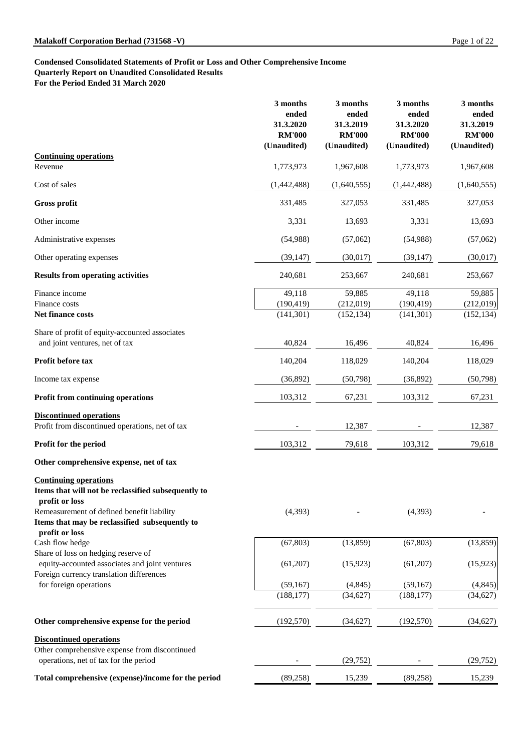# **Condensed Consolidated Statements of Profit or Loss and Other Comprehensive Income Quarterly Report on Unaudited Consolidated Results**

**For the Period Ended 31 March 2020**

|                                                                                                                                                     | 3 months<br>ended<br>31.3.2020<br><b>RM'000</b><br>(Unaudited) | 3 months<br>ended<br>31.3.2019<br><b>RM'000</b><br>(Unaudited) | 3 months<br>ended<br>31.3.2020<br><b>RM'000</b><br>(Unaudited) | 3 months<br>ended<br>31.3.2019<br><b>RM'000</b><br>(Unaudited) |
|-----------------------------------------------------------------------------------------------------------------------------------------------------|----------------------------------------------------------------|----------------------------------------------------------------|----------------------------------------------------------------|----------------------------------------------------------------|
| <b>Continuing operations</b>                                                                                                                        |                                                                |                                                                |                                                                |                                                                |
| Revenue                                                                                                                                             | 1,773,973                                                      | 1,967,608                                                      | 1,773,973                                                      | 1,967,608                                                      |
| Cost of sales                                                                                                                                       | (1,442,488)                                                    | (1,640,555)                                                    | (1,442,488)                                                    | (1,640,555)                                                    |
| <b>Gross profit</b>                                                                                                                                 | 331,485                                                        | 327,053                                                        | 331,485                                                        | 327,053                                                        |
| Other income                                                                                                                                        | 3,331                                                          | 13,693                                                         | 3,331                                                          | 13,693                                                         |
| Administrative expenses                                                                                                                             | (54,988)                                                       | (57,062)                                                       | (54,988)                                                       | (57,062)                                                       |
| Other operating expenses                                                                                                                            | (39, 147)                                                      | (30,017)                                                       | (39, 147)                                                      | (30,017)                                                       |
| <b>Results from operating activities</b>                                                                                                            | 240,681                                                        | 253,667                                                        | 240,681                                                        | 253,667                                                        |
| Finance income<br>Finance costs<br><b>Net finance costs</b>                                                                                         | 49,118<br>(190, 419)<br>(141,301)                              | 59,885<br>(212,019)<br>(152, 134)                              | 49,118<br>(190, 419)<br>(141,301)                              | 59,885<br>(212,019)<br>(152, 134)                              |
| Share of profit of equity-accounted associates<br>and joint ventures, net of tax                                                                    | 40,824                                                         | 16,496                                                         | 40,824                                                         | 16,496                                                         |
| <b>Profit before tax</b>                                                                                                                            | 140,204                                                        | 118,029                                                        | 140,204                                                        | 118,029                                                        |
| Income tax expense                                                                                                                                  | (36,892)                                                       | (50,798)                                                       | (36,892)                                                       | (50,798)                                                       |
| <b>Profit from continuing operations</b>                                                                                                            | 103,312                                                        | 67,231                                                         | 103,312                                                        | 67,231                                                         |
| <b>Discontinued operations</b><br>Profit from discontinued operations, net of tax                                                                   |                                                                | 12,387                                                         |                                                                | 12,387                                                         |
| <b>Profit for the period</b>                                                                                                                        | 103,312                                                        | 79,618                                                         | 103,312                                                        | 79,618                                                         |
| Other comprehensive expense, net of tax                                                                                                             |                                                                |                                                                |                                                                |                                                                |
| <b>Continuing operations</b><br>Items that will not be reclassified subsequently to<br>profit or loss<br>Remeasurement of defined benefit liability | (4,393)                                                        |                                                                | (4,393)                                                        |                                                                |
| Items that may be reclassified subsequently to                                                                                                      |                                                                |                                                                |                                                                |                                                                |

| profit or loss                                      |            |           |            |           |
|-----------------------------------------------------|------------|-----------|------------|-----------|
| Cash flow hedge                                     | (67, 803)  | (13,859)  | (67, 803)  | (13, 859) |
| Share of loss on hedging reserve of                 |            |           |            |           |
| equity-accounted associates and joint ventures      | (61,207)   | (15,923)  | (61,207)   | (15, 923) |
| Foreign currency translation differences            |            |           |            |           |
| for foreign operations                              | (59,167)   | (4, 845)  | (59,167)   | (4, 845)  |
|                                                     | (188, 177) | (34, 627) | (188, 177) | (34, 627) |
| Other comprehensive expense for the period          | (192, 570) | (34, 627) | (192, 570) | (34,627)  |
| <b>Discontinued operations</b>                      |            |           |            |           |
| Other comprehensive expense from discontinued       |            |           |            |           |
| operations, net of tax for the period               |            | (29, 752) |            | (29, 752) |
| Total comprehensive (expense)/income for the period | (89, 258)  | 15,239    | (89, 258)  | 15,239    |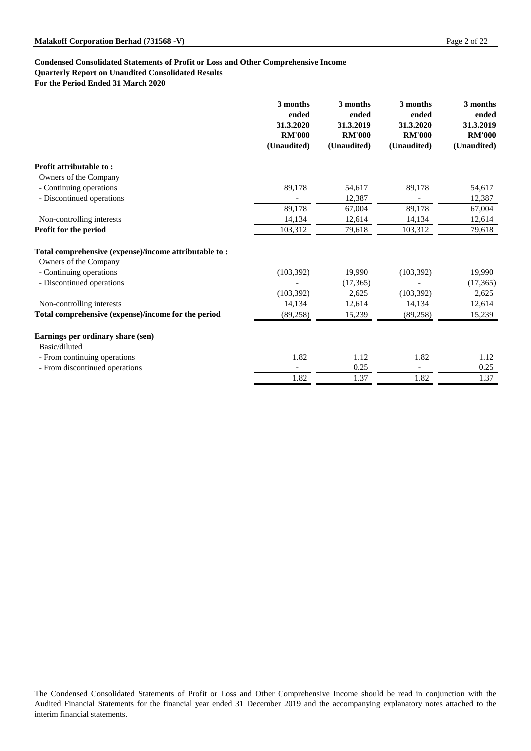**Quarterly Report on Unaudited Consolidated Results**

**For the Period Ended 31 March 2020**

|                                                       | 3 months<br>ended<br>31.3.2020<br><b>RM'000</b><br>(Unaudited) | 3 months<br>ended<br>31.3.2019<br><b>RM'000</b><br>(Unaudited) | 3 months<br>ended<br>31.3.2020<br><b>RM'000</b><br>(Unaudited) | 3 months<br>ended<br>31.3.2019<br><b>RM'000</b><br>(Unaudited) |
|-------------------------------------------------------|----------------------------------------------------------------|----------------------------------------------------------------|----------------------------------------------------------------|----------------------------------------------------------------|
| <b>Profit attributable to:</b>                        |                                                                |                                                                |                                                                |                                                                |
| Owners of the Company                                 |                                                                |                                                                |                                                                |                                                                |
| - Continuing operations                               | 89,178                                                         | 54,617                                                         | 89,178                                                         | 54,617                                                         |
| - Discontinued operations                             |                                                                | 12,387                                                         |                                                                | 12,387                                                         |
|                                                       | 89,178                                                         | 67,004                                                         | 89,178                                                         | 67,004                                                         |
| Non-controlling interests                             | 14,134                                                         | 12,614                                                         | 14,134                                                         | 12,614                                                         |
| Profit for the period                                 | 103,312                                                        | 79,618                                                         | 103,312                                                        | 79,618                                                         |
| Total comprehensive (expense)/income attributable to: |                                                                |                                                                |                                                                |                                                                |
| Owners of the Company<br>- Continuing operations      | (103, 392)                                                     | 19,990                                                         | (103, 392)                                                     | 19,990                                                         |
| - Discontinued operations                             |                                                                | (17, 365)                                                      |                                                                | (17, 365)                                                      |
|                                                       | (103, 392)                                                     | 2,625                                                          | (103, 392)                                                     | 2,625                                                          |
| Non-controlling interests                             | 14,134                                                         | 12,614                                                         | 14,134                                                         | 12,614                                                         |
| Total comprehensive (expense)/income for the period   | (89,258)                                                       | 15,239                                                         | (89, 258)                                                      | 15,239                                                         |
|                                                       |                                                                |                                                                |                                                                |                                                                |
| Earnings per ordinary share (sen)<br>Basic/diluted    |                                                                |                                                                |                                                                |                                                                |
| - From continuing operations                          | 1.82                                                           | 1.12                                                           | 1.82                                                           | 1.12                                                           |
| - From discontinued operations                        |                                                                | 0.25                                                           |                                                                | 0.25                                                           |
|                                                       | 1.82                                                           | 1.37                                                           | 1.82                                                           | 1.37                                                           |

The Condensed Consolidated Statements of Profit or Loss and Other Comprehensive Income should be read in conjunction with the Audited Financial Statements for the financial year ended 31 December 2019 and the accompanying explanatory notes attached to the interim financial statements.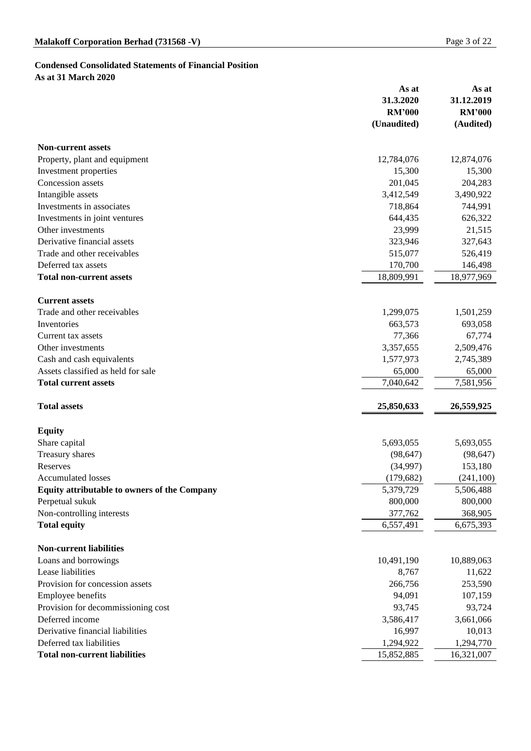# **Condensed Consolidated Statements of Financial Position As at 31 March 2020**

|                                                     | As at         | As at         |
|-----------------------------------------------------|---------------|---------------|
|                                                     | 31.3.2020     | 31.12.2019    |
|                                                     | <b>RM'000</b> | <b>RM'000</b> |
|                                                     | (Unaudited)   | (Audited)     |
| <b>Non-current assets</b>                           |               |               |
| Property, plant and equipment                       | 12,784,076    | 12,874,076    |
| Investment properties                               | 15,300        | 15,300        |
| <b>Concession</b> assets                            | 201,045       | 204,283       |
| Intangible assets                                   | 3,412,549     | 3,490,922     |
| Investments in associates                           | 718,864       | 744,991       |
| Investments in joint ventures                       | 644,435       | 626,322       |
| Other investments                                   | 23,999        | 21,515        |
| Derivative financial assets                         | 323,946       | 327,643       |
| Trade and other receivables                         | 515,077       | 526,419       |
| Deferred tax assets                                 | 170,700       | 146,498       |
| <b>Total non-current assets</b>                     | 18,809,991    | 18,977,969    |
| <b>Current assets</b>                               |               |               |
| Trade and other receivables                         | 1,299,075     | 1,501,259     |
| Inventories                                         | 663,573       | 693,058       |
| Current tax assets                                  | 77,366        | 67,774        |
| Other investments                                   | 3,357,655     | 2,509,476     |
| Cash and cash equivalents                           | 1,577,973     | 2,745,389     |
| Assets classified as held for sale                  | 65,000        | 65,000        |
| <b>Total current assets</b>                         | 7,040,642     | 7,581,956     |
|                                                     |               |               |
| <b>Total assets</b>                                 | 25,850,633    | 26,559,925    |
| <b>Equity</b>                                       |               |               |
| Share capital                                       | 5,693,055     | 5,693,055     |
| Treasury shares                                     | (98, 647)     | (98, 647)     |
| Reserves                                            | (34,997)      | 153,180       |
| <b>Accumulated losses</b>                           | (179, 682)    | (241,100)     |
| <b>Equity attributable to owners of the Company</b> | 5,379,729     | 5,506,488     |
| Perpetual sukuk                                     | 800,000       | 800,000       |
| Non-controlling interests                           | 377,762       | 368,905       |
| <b>Total equity</b>                                 | 6,557,491     | 6,675,393     |
| <b>Non-current liabilities</b>                      |               |               |
| Loans and borrowings                                | 10,491,190    | 10,889,063    |
| Lease liabilities                                   | 8,767         | 11,622        |
| Provision for concession assets                     | 266,756       | 253.590       |

| T TO VIDIOIL IOI CONDOMNIONI ADOLD   | $200$ . $100$ | 1.00000    |
|--------------------------------------|---------------|------------|
| <b>Employee benefits</b>             | 94,091        | 107,159    |
| Provision for decommissioning cost   | 93,745        | 93,724     |
| Deferred income                      | 3,586,417     | 3,661,066  |
| Derivative financial liabilities     | 16.997        | 10,013     |
| Deferred tax liabilities             | 1,294,922     | 1,294,770  |
| <b>Total non-current liabilities</b> | 15,852,885    | 16,321,007 |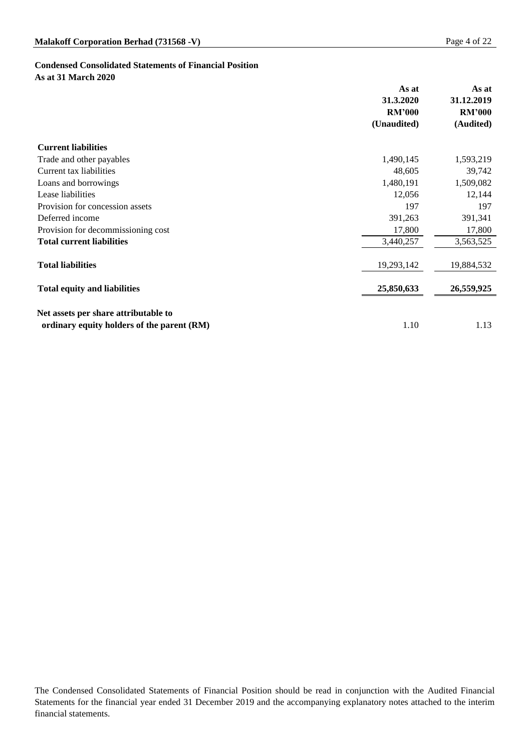## **Condensed Consolidated Statements of Financial Position As at 31 March 2020**

|                                            | As at         | As at         |
|--------------------------------------------|---------------|---------------|
|                                            | 31.3.2020     | 31.12.2019    |
|                                            | <b>RM'000</b> | <b>RM'000</b> |
|                                            | (Unaudited)   | (Audited)     |
| <b>Current liabilities</b>                 |               |               |
| Trade and other payables                   | 1,490,145     | 1,593,219     |
| <b>Current tax liabilities</b>             | 48,605        | 39,742        |
| Loans and borrowings                       | 1,480,191     | 1,509,082     |
| Lease liabilities                          | 12,056        | 12,144        |
| Provision for concession assets            | 197           | 197           |
| Deferred income                            | 391,263       | 391,341       |
| Provision for decommissioning cost         | 17,800        | 17,800        |
| <b>Total current liabilities</b>           | 3,440,257     | 3,563,525     |
| <b>Total liabilities</b>                   | 19,293,142    | 19,884,532    |
| <b>Total equity and liabilities</b>        | 25,850,633    | 26,559,925    |
| Net assets per share attributable to       |               |               |
| ordinary equity holders of the parent (RM) | 1.10          | 1.13          |

The Condensed Consolidated Statements of Financial Position should be read in conjunction with the Audited Financial Statements for the financial year ended 31 December 2019 and the accompanying explanatory notes attached to the interim financial statements.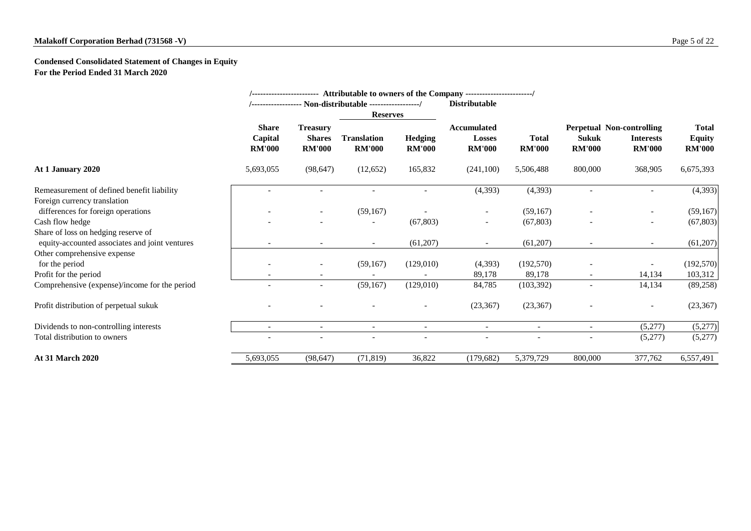# **Condensed Consolidated Statement of Changes in Equity For the Period Ended 31 March 2020**

|                                                |                                          |                                                   |                                     |                                 | /----------------------- Attributable to owners of the Company ----------------------/ |                               |                               |                                                                       |                                                |
|------------------------------------------------|------------------------------------------|---------------------------------------------------|-------------------------------------|---------------------------------|----------------------------------------------------------------------------------------|-------------------------------|-------------------------------|-----------------------------------------------------------------------|------------------------------------------------|
|                                                |                                          |                                                   |                                     |                                 | <b>Distributable</b>                                                                   |                               |                               |                                                                       |                                                |
|                                                |                                          |                                                   | <b>Reserves</b>                     |                                 |                                                                                        |                               |                               |                                                                       |                                                |
|                                                | <b>Share</b><br>Capital<br><b>RM'000</b> | <b>Treasury</b><br><b>Shares</b><br><b>RM'000</b> | <b>Translation</b><br><b>RM'000</b> | <b>Hedging</b><br><b>RM'000</b> | <b>Accumulated</b><br>Losses<br><b>RM'000</b>                                          | <b>Total</b><br><b>RM'000</b> | <b>Sukuk</b><br><b>RM'000</b> | <b>Perpetual Non-controlling</b><br><b>Interests</b><br><b>RM'000</b> | <b>Total</b><br><b>Equity</b><br><b>RM'000</b> |
| At 1 January 2020                              | 5,693,055                                | (98, 647)                                         | (12,652)                            | 165,832                         | (241,100)                                                                              | 5,506,488                     | 800,000                       | 368,905                                                               | 6,675,393                                      |
| Remeasurement of defined benefit liability     |                                          |                                                   |                                     |                                 | (4,393)                                                                                | (4,393)                       |                               |                                                                       | (4,393)                                        |
| Foreign currency translation                   |                                          |                                                   |                                     |                                 |                                                                                        |                               |                               |                                                                       |                                                |
| differences for foreign operations             |                                          | $\overline{\phantom{a}}$                          | (59,167)                            |                                 | $\overline{\phantom{a}}$                                                               | (59,167)                      |                               | $\sim$                                                                | (59,167)                                       |
| Cash flow hedge                                |                                          |                                                   |                                     | (67, 803)                       |                                                                                        | (67, 803)                     |                               |                                                                       | (67, 803)                                      |
| Share of loss on hedging reserve of            |                                          |                                                   |                                     |                                 |                                                                                        |                               |                               |                                                                       |                                                |
| equity-accounted associates and joint ventures |                                          |                                                   | $\sim$                              | (61,207)                        |                                                                                        | (61,207)                      |                               | $\sim$                                                                | (61,207)                                       |
| Other comprehensive expense                    |                                          |                                                   |                                     |                                 |                                                                                        |                               |                               |                                                                       |                                                |
| for the period                                 |                                          | $\overline{\phantom{a}}$                          | (59,167)                            | (129,010)                       | (4,393)                                                                                | (192,570)                     |                               |                                                                       | (192,570)                                      |
| Profit for the period                          |                                          | $\overline{\phantom{a}}$                          |                                     |                                 | 89,178                                                                                 | 89,178                        | $\sim$                        | 14,134                                                                | 103,312                                        |
| Comprehensive (expense)/income for the period  |                                          | $\overline{\phantom{a}}$                          | (59,167)                            | (129,010)                       | 84,785                                                                                 | (103, 392)                    |                               | 14,134                                                                | (89,258)                                       |
| Profit distribution of perpetual sukuk         |                                          |                                                   |                                     |                                 | (23, 367)                                                                              | (23, 367)                     |                               | $\sim$                                                                | (23, 367)                                      |
| Dividends to non-controlling interests         | $\blacksquare$                           | $\overline{\phantom{a}}$                          | $\sim$                              | $\sim$                          | $\overline{\phantom{a}}$                                                               | $\blacksquare$                | $\blacksquare$                | (5,277)                                                               | (5,277)                                        |
| Total distribution to owners                   |                                          |                                                   |                                     |                                 |                                                                                        |                               |                               | (5,277)                                                               | (5,277)                                        |
| <b>At 31 March 2020</b>                        | 5,693,055                                | (98, 647)                                         | (71, 819)                           | 36,822                          | (179, 682)                                                                             | 5,379,729                     | 800,000                       | 377,762                                                               | 6,557,491                                      |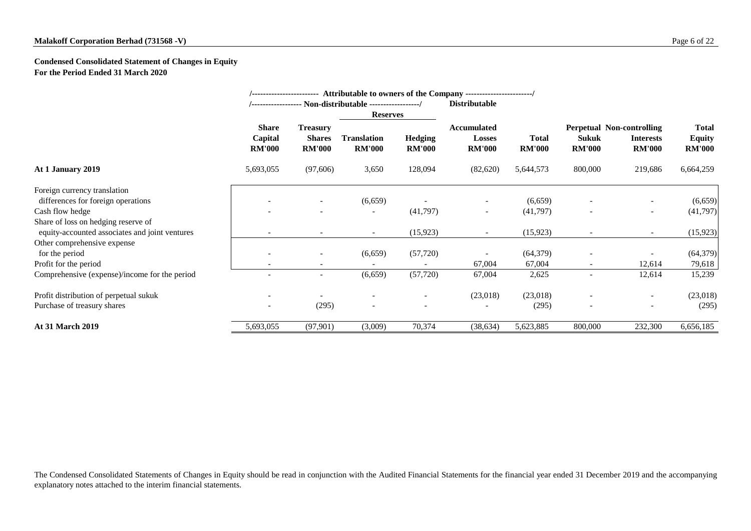## **Condensed Consolidated Statement of Changes in Equity For the Period Ended 31 March 2020**

|                                                |                                          | Attributable to owners of the Company ------------------------/<br>------------------------- |                                     |                                 |                                                      |                               |                               |                                                                       |                                                |  |
|------------------------------------------------|------------------------------------------|----------------------------------------------------------------------------------------------|-------------------------------------|---------------------------------|------------------------------------------------------|-------------------------------|-------------------------------|-----------------------------------------------------------------------|------------------------------------------------|--|
|                                                |                                          |                                                                                              |                                     |                                 | <b>Distributable</b>                                 |                               |                               |                                                                       |                                                |  |
|                                                |                                          |                                                                                              | <b>Reserves</b>                     |                                 |                                                      |                               |                               |                                                                       |                                                |  |
|                                                | <b>Share</b><br>Capital<br><b>RM'000</b> | <b>Treasury</b><br><b>Shares</b><br><b>RM'000</b>                                            | <b>Translation</b><br><b>RM'000</b> | <b>Hedging</b><br><b>RM'000</b> | <b>Accumulated</b><br><b>Losses</b><br><b>RM'000</b> | <b>Total</b><br><b>RM'000</b> | <b>Sukuk</b><br><b>RM'000</b> | <b>Perpetual Non-controlling</b><br><b>Interests</b><br><b>RM'000</b> | <b>Total</b><br><b>Equity</b><br><b>RM'000</b> |  |
| At 1 January 2019                              | 5,693,055                                | (97,606)                                                                                     | 3,650                               | 128,094                         | (82,620)                                             | 5,644,573                     | 800,000                       | 219,686                                                               | 6,664,259                                      |  |
| Foreign currency translation                   |                                          |                                                                                              |                                     |                                 |                                                      |                               |                               |                                                                       |                                                |  |
| differences for foreign operations             |                                          |                                                                                              | (6,659)                             |                                 |                                                      | (6,659)                       |                               |                                                                       | (6,659)                                        |  |
| Cash flow hedge                                |                                          |                                                                                              | $\overline{\phantom{a}}$            | (41,797)                        | $\sim$                                               | (41,797)                      |                               | $\overline{\phantom{a}}$                                              | (41, 797)                                      |  |
| Share of loss on hedging reserve of            |                                          |                                                                                              |                                     |                                 |                                                      |                               |                               |                                                                       |                                                |  |
| equity-accounted associates and joint ventures |                                          |                                                                                              | $\overline{\phantom{a}}$            | (15, 923)                       |                                                      | (15, 923)                     |                               | $\sim$                                                                | (15, 923)                                      |  |
| Other comprehensive expense                    |                                          |                                                                                              |                                     |                                 |                                                      |                               |                               |                                                                       |                                                |  |
| for the period                                 |                                          | $\overline{\phantom{a}}$                                                                     | (6,659)                             | (57, 720)                       |                                                      | (64, 379)                     |                               |                                                                       | (64, 379)                                      |  |
| Profit for the period                          |                                          | $\overline{\phantom{a}}$                                                                     |                                     |                                 | 67,004                                               | 67,004                        |                               | 12,614                                                                | 79,618                                         |  |
| Comprehensive (expense)/income for the period  |                                          | $\overline{\phantom{a}}$                                                                     | (6,659)                             | (57, 720)                       | 67,004                                               | 2,625                         |                               | 12,614                                                                | 15,239                                         |  |
| Profit distribution of perpetual sukuk         |                                          |                                                                                              | $\overline{\phantom{a}}$            |                                 | (23,018)                                             | (23,018)                      |                               | $\sim$                                                                | (23,018)                                       |  |
| Purchase of treasury shares                    |                                          | (295)                                                                                        |                                     |                                 |                                                      | (295)                         |                               |                                                                       | (295)                                          |  |
| <b>At 31 March 2019</b>                        | 5,693,055                                | (97, 901)                                                                                    | (3,009)                             | 70,374                          | (38, 634)                                            | 5,623,885                     | 800,000                       | 232,300                                                               | 6,656,185                                      |  |

The Condensed Consolidated Statements of Changes in Equity should be read in conjunction with the Audited Financial Statements for the financial year ended 31 December 2019 and the accompanying explanatory notes attached to the interim financial statements.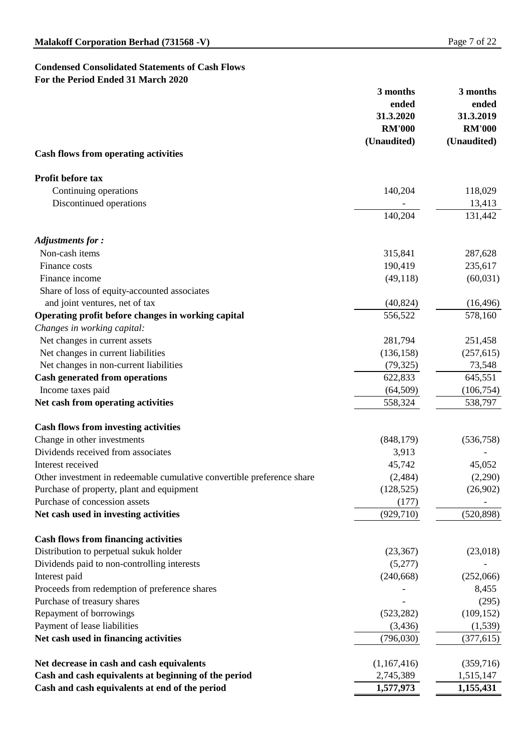# **Condensed Consolidated Statements of Cash Flows For the Period Ended 31 March 2020**

|                                                                                | 3 months<br>ended | 3 months<br>ended    |  |
|--------------------------------------------------------------------------------|-------------------|----------------------|--|
|                                                                                | 31.3.2020         | 31.3.2019            |  |
|                                                                                | <b>RM'000</b>     | <b>RM'000</b>        |  |
| <b>Cash flows from operating activities</b>                                    | (Unaudited)       | (Unaudited)          |  |
|                                                                                |                   |                      |  |
| <b>Profit before tax</b>                                                       |                   |                      |  |
| Continuing operations                                                          | 140,204           | 118,029              |  |
| Discontinued operations                                                        |                   | 13,413               |  |
|                                                                                | 140,204           | 131,442              |  |
|                                                                                |                   |                      |  |
| <b>Adjustments for:</b><br>Non-cash items                                      |                   |                      |  |
| Finance costs                                                                  | 315,841           | 287,628              |  |
| Finance income                                                                 | 190,419           | 235,617              |  |
|                                                                                | (49,118)          | (60,031)             |  |
| Share of loss of equity-accounted associates<br>and joint ventures, net of tax | (40, 824)         |                      |  |
| Operating profit before changes in working capital                             | 556,522           | (16, 496)<br>578,160 |  |
| Changes in working capital:                                                    |                   |                      |  |
| Net changes in current assets                                                  | 281,794           | 251,458              |  |
| Net changes in current liabilities                                             | (136, 158)        | (257, 615)           |  |
| Net changes in non-current liabilities                                         | (79, 325)         | 73,548               |  |
| <b>Cash generated from operations</b>                                          | 622,833           | 645,551              |  |
| Income taxes paid                                                              | (64,509)          | (106, 754)           |  |
| Net cash from operating activities                                             | 558,324           | 538,797              |  |
|                                                                                |                   |                      |  |
| <b>Cash flows from investing activities</b>                                    |                   |                      |  |
| Change in other investments                                                    | (848, 179)        | (536, 758)           |  |
| Dividends received from associates                                             | 3,913             |                      |  |
| Interest received                                                              | 45,742            | 45,052               |  |
| Other investment in redeemable cumulative convertible preference share         | (2,484)           | (2,290)              |  |
| Purchase of property, plant and equipment                                      | (128, 525)        | (26,902)             |  |
| Purchase of concession assets                                                  | (177)             |                      |  |
| Net cash used in investing activities                                          | (929, 710)        | (520, 898)           |  |
| <b>Cash flows from financing activities</b>                                    |                   |                      |  |
| Distribution to perpetual sukuk holder                                         | (23, 367)         | (23,018)             |  |
| Dividends paid to non-controlling interests                                    | (5,277)           |                      |  |
| Interest paid                                                                  | (240, 668)        | (252,066)            |  |
| Proceeds from redemption of preference shares                                  |                   | 8,455                |  |
| Purchase of treasury shares                                                    |                   | (295)                |  |
| Repayment of borrowings                                                        | (523, 282)        | (109, 152)           |  |
| Payment of lease liabilities                                                   | (3,436)           | (1,539)              |  |
| Net cash used in financing activities                                          | (796,030)         | (377, 615)           |  |
| Net decrease in cash and cash equivalents                                      | (1,167,416)       | (359,716)            |  |
| Cash and cash equivalents at beginning of the period                           | 2,745,389         | 1,515,147            |  |
| Cash and cash equivalents at end of the period                                 | 1,577,973         | 1,155,431            |  |
|                                                                                |                   |                      |  |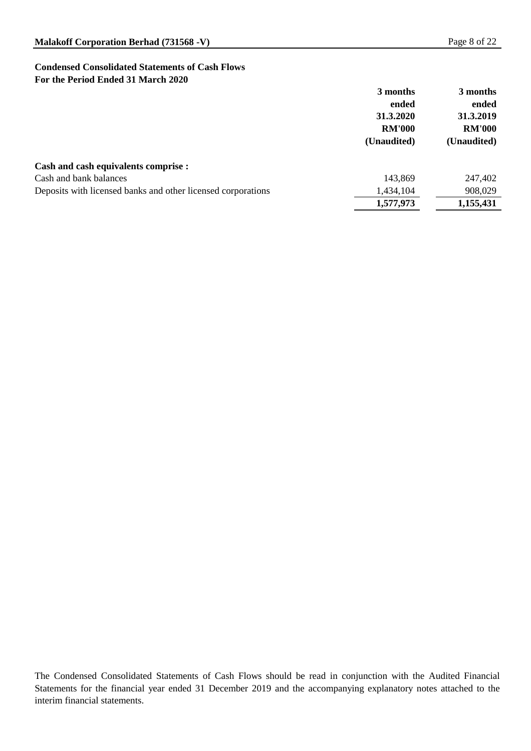## **Condensed Consolidated Statements of Cash Flows For the Period Ended 31 March 2020**

|                                                              | 3 months      | 3 months      |
|--------------------------------------------------------------|---------------|---------------|
|                                                              | ended         | ended         |
|                                                              | 31.3.2020     | 31.3.2019     |
|                                                              | <b>RM'000</b> | <b>RM'000</b> |
|                                                              | (Unaudited)   | (Unaudited)   |
| <b>Cash and cash equivalents comprise :</b>                  |               |               |
| Cash and bank balances                                       | 143,869       | 247,402       |
| Deposits with licensed banks and other licensed corporations | 1,434,104     | 908,029       |
|                                                              | 1,577,973     | 1,155,431     |

The Condensed Consolidated Statements of Cash Flows should be read in conjunction with the Audited Financial Statements for the financial year ended 31 December 2019 and the accompanying explanatory notes attached to the interim financial statements.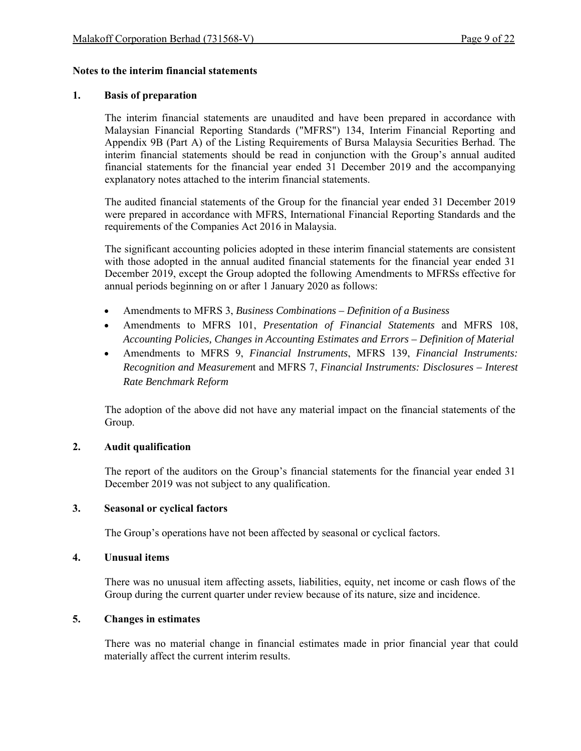#### **Notes to the interim financial statements**

#### **1. Basis of preparation**

The interim financial statements are unaudited and have been prepared in accordance with Malaysian Financial Reporting Standards ("MFRS") 134, Interim Financial Reporting and Appendix 9B (Part A) of the Listing Requirements of Bursa Malaysia Securities Berhad. The interim financial statements should be read in conjunction with the Group's annual audited financial statements for the financial year ended 31 December 2019 and the accompanying explanatory notes attached to the interim financial statements.

The audited financial statements of the Group for the financial year ended 31 December 2019 were prepared in accordance with MFRS, International Financial Reporting Standards and the requirements of the Companies Act 2016 in Malaysia.

The significant accounting policies adopted in these interim financial statements are consistent with those adopted in the annual audited financial statements for the financial year ended 31 December 2019, except the Group adopted the following Amendments to MFRSs effective for annual periods beginning on or after 1 January 2020 as follows:

- Amendments to MFRS 3, *Business Combinations Definition of a Business*
- Amendments to MFRS 101, *Presentation of Financial Statements* and MFRS 108, *Accounting Policies, Changes in Accounting Estimates and Errors – Definition of Material*
- Amendments to MFRS 9, *Financial Instruments*, MFRS 139, *Financial Instruments: Recognition and Measuremen*t and MFRS 7, *Financial Instruments: Disclosures – Interest Rate Benchmark Reform*

The adoption of the above did not have any material impact on the financial statements of the Group.

## **2. Audit qualification**

The report of the auditors on the Group's financial statements for the financial year ended 31 December 2019 was not subject to any qualification.

#### **3. Seasonal or cyclical factors**

The Group's operations have not been affected by seasonal or cyclical factors.

#### **4. Unusual items**

 There was no unusual item affecting assets, liabilities, equity, net income or cash flows of the Group during the current quarter under review because of its nature, size and incidence.

#### **5. Changes in estimates**

 There was no material change in financial estimates made in prior financial year that could materially affect the current interim results.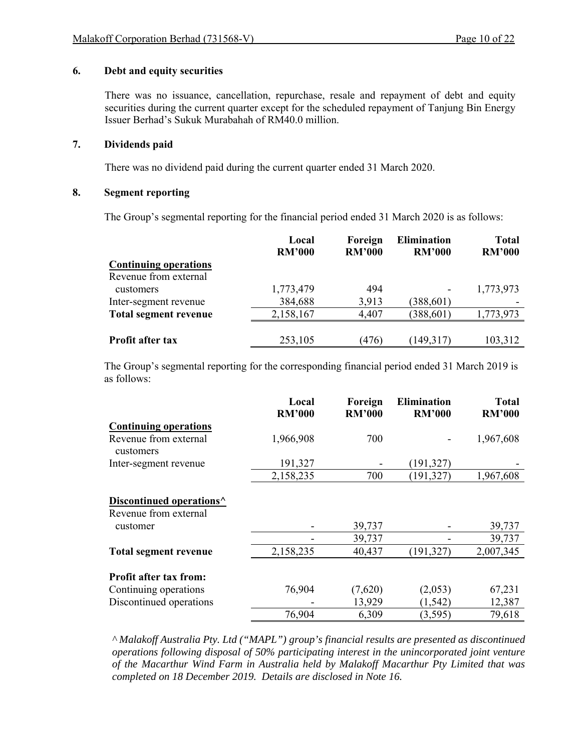#### **6. Debt and equity securities**

There was no issuance, cancellation, repurchase, resale and repayment of debt and equity securities during the current quarter except for the scheduled repayment of Tanjung Bin Energy Issuer Berhad's Sukuk Murabahah of RM40.0 million.

#### **7. Dividends paid**

There was no dividend paid during the current quarter ended 31 March 2020.

### **8. Segment reporting**

The Group's segmental reporting for the financial period ended 31 March 2020 is as follows:

|                              | Local<br><b>RM'000</b> | Foreign<br><b>RM'000</b> | <b>Elimination</b><br><b>RM'000</b> | <b>Total</b><br><b>RM'000</b> |
|------------------------------|------------------------|--------------------------|-------------------------------------|-------------------------------|
| <b>Continuing operations</b> |                        |                          |                                     |                               |
| Revenue from external        |                        |                          |                                     |                               |
| customers                    | 1,773,479              | 494                      |                                     | 1,773,973                     |
| Inter-segment revenue        | 384,688                | 3,913                    | (388, 601)                          |                               |
| <b>Total segment revenue</b> | 2,158,167              | 4,407                    | (388, 601)                          | 1,773,973                     |
|                              |                        |                          |                                     |                               |
| <b>Profit after tax</b>      | 253,105                | (476)                    | (149,317)                           | 103,312                       |

The Group's segmental reporting for the corresponding financial period ended 31 March 2019 is as follows:

|                                                               | Local<br><b>RM'000</b> | Foreign<br><b>RM'000</b> | <b>Elimination</b><br><b>RM'000</b> | <b>Total</b><br><b>RM'000</b> |
|---------------------------------------------------------------|------------------------|--------------------------|-------------------------------------|-------------------------------|
| <b>Continuing operations</b>                                  |                        |                          |                                     |                               |
| Revenue from external<br>customers                            | 1,966,908              | 700                      |                                     | 1,967,608                     |
| Inter-segment revenue                                         | 191,327                |                          | (191, 327)                          |                               |
|                                                               | 2,158,235              | 700                      | (191, 327)                          | 1,967,608                     |
| Discontinued operations <sup>^</sup><br>Revenue from external |                        |                          |                                     |                               |
| customer                                                      |                        | 39,737                   |                                     | 39,737                        |
|                                                               |                        | 39,737                   |                                     | 39,737                        |
| <b>Total segment revenue</b>                                  | 2,158,235              | 40,437                   | (191, 327)                          | 2,007,345                     |
| <b>Profit after tax from:</b>                                 |                        |                          |                                     |                               |
| Continuing operations                                         | 76,904                 | (7,620)                  | (2,053)                             | 67,231                        |
| Discontinued operations                                       |                        | 13,929                   | (1, 542)                            | 12,387                        |
|                                                               | 76,904                 | 6,309                    | (3,595)                             | 79,618                        |

*^ Malakoff Australia Pty. Ltd ("MAPL") group's financial results are presented as discontinued operations following disposal of 50% participating interest in the unincorporated joint venture of the Macarthur Wind Farm in Australia held by Malakoff Macarthur Pty Limited that was completed on 18 December 2019. Details are disclosed in Note 16.*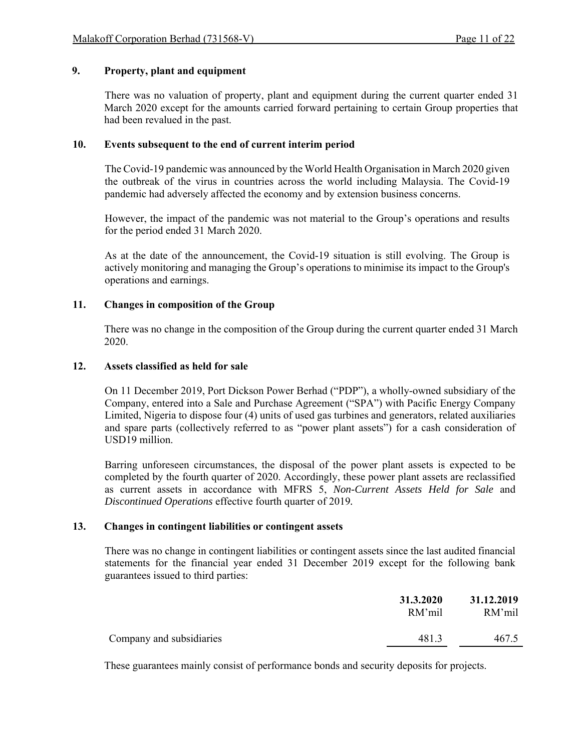## **9. Property, plant and equipment**

 There was no valuation of property, plant and equipment during the current quarter ended 31 March 2020 except for the amounts carried forward pertaining to certain Group properties that had been revalued in the past.

#### **10. Events subsequent to the end of current interim period**

The Covid-19 pandemic was announced by the World Health Organisation in March 2020 given the outbreak of the virus in countries across the world including Malaysia. The Covid-19 pandemic had adversely affected the economy and by extension business concerns.

However, the impact of the pandemic was not material to the Group's operations and results for the period ended 31 March 2020.

As at the date of the announcement, the Covid-19 situation is still evolving. The Group is actively monitoring and managing the Group's operations to minimise its impact to the Group's operations and earnings.

#### **11. Changes in composition of the Group**

There was no change in the composition of the Group during the current quarter ended 31 March 2020.

#### **12. Assets classified as held for sale**

On 11 December 2019, Port Dickson Power Berhad ("PDP"), a wholly-owned subsidiary of the Company, entered into a Sale and Purchase Agreement ("SPA") with Pacific Energy Company Limited, Nigeria to dispose four (4) units of used gas turbines and generators, related auxiliaries and spare parts (collectively referred to as "power plant assets") for a cash consideration of USD19 million.

Barring unforeseen circumstances, the disposal of the power plant assets is expected to be completed by the fourth quarter of 2020. Accordingly, these power plant assets are reclassified as current assets in accordance with MFRS 5, *Non-Current Assets Held for Sale* and *Discontinued Operations* effective fourth quarter of 2019*.*

#### **13. Changes in contingent liabilities or contingent assets**

There was no change in contingent liabilities or contingent assets since the last audited financial statements for the financial year ended 31 December 2019 except for the following bank guarantees issued to third parties:

|                          | 31.3.2020<br>RM'mil | 31.12.2019<br>RM'mil |
|--------------------------|---------------------|----------------------|
| Company and subsidiaries | 481.3               | 467.5                |

These guarantees mainly consist of performance bonds and security deposits for projects.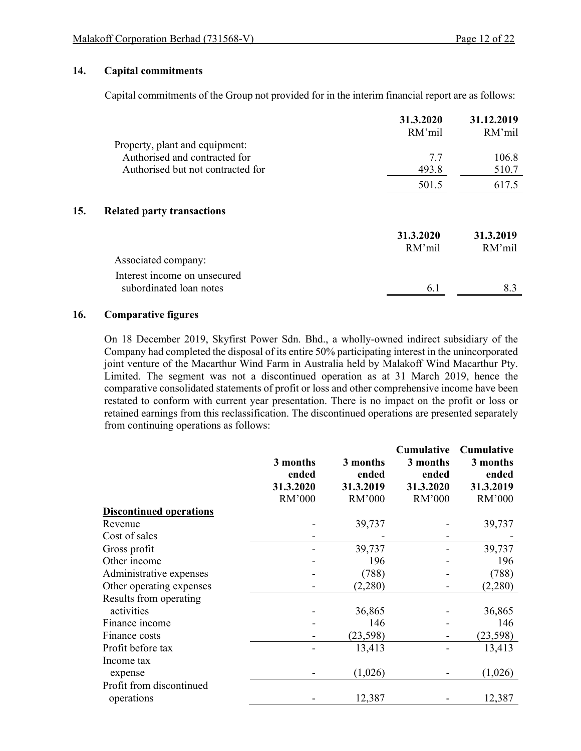#### **14. Capital commitments**

Capital commitments of the Group not provided for in the interim financial report are as follows:

|                                          | 31.3.2020<br>RM'mil | 31.12.2019<br>RM'mil |
|------------------------------------------|---------------------|----------------------|
| Property, plant and equipment:           |                     |                      |
| Authorised and contracted for            | 7.7                 | 106.8                |
| Authorised but not contracted for        | 493.8               | 510.7                |
|                                          | 501.5               | 617.5                |
| 15.<br><b>Related party transactions</b> |                     |                      |
|                                          | 31.3.2020           | 31.3.2019            |
|                                          | RM'mil              | RM'mil               |
| Associated company:                      |                     |                      |
| Interest income on unsecured             |                     |                      |
| subordinated loan notes                  | 6.1                 | 8.3                  |

#### **16. Comparative figures**

On 18 December 2019, Skyfirst Power Sdn. Bhd., a wholly-owned indirect subsidiary of the Company had completed the disposal of its entire 50% participating interest in the unincorporated joint venture of the Macarthur Wind Farm in Australia held by Malakoff Wind Macarthur Pty. Limited. The segment was not a discontinued operation as at 31 March 2019, hence the comparative consolidated statements of profit or loss and other comprehensive income have been restated to conform with current year presentation. There is no impact on the profit or loss or retained earnings from this reclassification. The discontinued operations are presented separately from continuing operations as follows:

|                                |           |           | <b>Cumulative</b> | <b>Cumulative</b> |
|--------------------------------|-----------|-----------|-------------------|-------------------|
|                                | 3 months  | 3 months  | 3 months          | 3 months          |
|                                | ended     | ended     | ended             | ended             |
|                                | 31.3.2020 | 31.3.2019 | 31.3.2020         | 31.3.2019         |
|                                | RM'000    | RM'000    | RM'000            | RM'000            |
| <b>Discontinued operations</b> |           |           |                   |                   |
| Revenue                        |           | 39,737    |                   | 39,737            |
| Cost of sales                  |           |           |                   |                   |
| Gross profit                   |           | 39,737    |                   | 39,737            |
| Other income                   |           | 196       |                   | 196               |
| Administrative expenses        |           | (788)     |                   | (788)             |
| Other operating expenses       |           | (2,280)   |                   | (2,280)           |
| Results from operating         |           |           |                   |                   |
| activities                     |           | 36,865    |                   | 36,865            |
| Finance income                 |           | 146       |                   | 146               |
| Finance costs                  |           | (23, 598) |                   | (23, 598)         |
| Profit before tax              |           | 13,413    |                   | 13,413            |
| Income tax                     |           |           |                   |                   |
| expense                        |           | (1,026)   |                   | (1,026)           |
| Profit from discontinued       |           |           |                   |                   |
| operations                     |           | 12,387    |                   | 12,387            |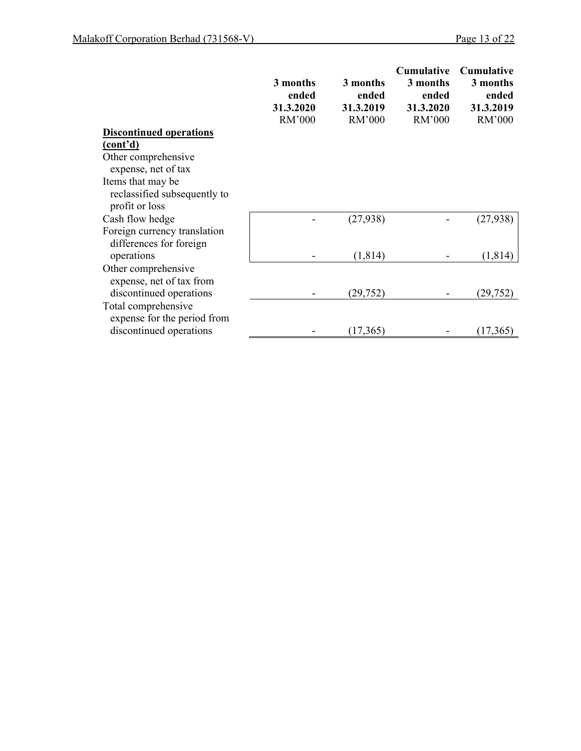|                                | 3 months<br>ended<br>31.3.2020<br>RM'000 | 3 months<br>ended<br>31.3.2019<br>RM'000 | <b>Cumulative</b><br>3 months<br>ended<br>31.3.2020<br>RM'000 | <b>Cumulative</b><br>3 months<br>ended<br>31.3.2019<br>RM'000 |
|--------------------------------|------------------------------------------|------------------------------------------|---------------------------------------------------------------|---------------------------------------------------------------|
| <b>Discontinued operations</b> |                                          |                                          |                                                               |                                                               |
| (cont'd)                       |                                          |                                          |                                                               |                                                               |
| Other comprehensive            |                                          |                                          |                                                               |                                                               |
| expense, net of tax            |                                          |                                          |                                                               |                                                               |
| Items that may be              |                                          |                                          |                                                               |                                                               |
| reclassified subsequently to   |                                          |                                          |                                                               |                                                               |
| profit or loss                 |                                          |                                          |                                                               |                                                               |
| Cash flow hedge                |                                          | (27, 938)                                |                                                               | (27, 938)                                                     |
| Foreign currency translation   |                                          |                                          |                                                               |                                                               |
| differences for foreign        |                                          |                                          |                                                               |                                                               |
| operations                     |                                          | (1, 814)                                 |                                                               | (1,814)                                                       |
| Other comprehensive            |                                          |                                          |                                                               |                                                               |
| expense, net of tax from       |                                          |                                          |                                                               |                                                               |
| discontinued operations        |                                          | (29, 752)                                |                                                               | (29, 752)                                                     |
| Total comprehensive            |                                          |                                          |                                                               |                                                               |
| expense for the period from    |                                          |                                          |                                                               |                                                               |
| discontinued operations        |                                          | (17, 365)                                |                                                               | (17,365)                                                      |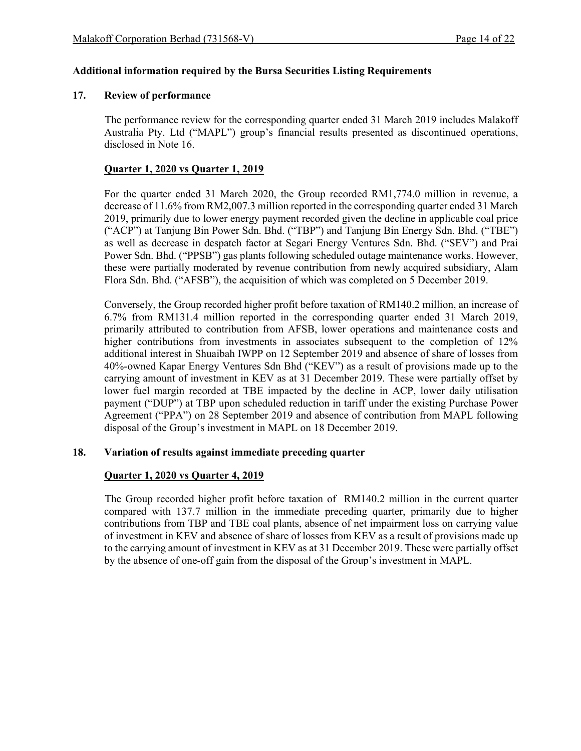#### **Additional information required by the Bursa Securities Listing Requirements**

#### **17. Review of performance**

The performance review for the corresponding quarter ended 31 March 2019 includes Malakoff Australia Pty. Ltd ("MAPL") group's financial results presented as discontinued operations, disclosed in Note 16.

## **Quarter 1, 2020 vs Quarter 1, 2019**

For the quarter ended 31 March 2020, the Group recorded RM1,774.0 million in revenue, a decrease of 11.6% from RM2,007.3 million reported in the corresponding quarter ended 31 March 2019, primarily due to lower energy payment recorded given the decline in applicable coal price ("ACP") at Tanjung Bin Power Sdn. Bhd. ("TBP") and Tanjung Bin Energy Sdn. Bhd. ("TBE") as well as decrease in despatch factor at Segari Energy Ventures Sdn. Bhd. ("SEV") and Prai Power Sdn. Bhd. ("PPSB") gas plants following scheduled outage maintenance works. However, these were partially moderated by revenue contribution from newly acquired subsidiary, Alam Flora Sdn. Bhd. ("AFSB"), the acquisition of which was completed on 5 December 2019.

Conversely, the Group recorded higher profit before taxation of RM140.2 million, an increase of 6.7% from RM131.4 million reported in the corresponding quarter ended 31 March 2019, primarily attributed to contribution from AFSB, lower operations and maintenance costs and higher contributions from investments in associates subsequent to the completion of 12% additional interest in Shuaibah IWPP on 12 September 2019 and absence of share of losses from 40%-owned Kapar Energy Ventures Sdn Bhd ("KEV") as a result of provisions made up to the carrying amount of investment in KEV as at 31 December 2019. These were partially offset by lower fuel margin recorded at TBE impacted by the decline in ACP, lower daily utilisation payment ("DUP") at TBP upon scheduled reduction in tariff under the existing Purchase Power Agreement ("PPA") on 28 September 2019 and absence of contribution from MAPL following disposal of the Group's investment in MAPL on 18 December 2019.

#### **18. Variation of results against immediate preceding quarter**

## **Quarter 1, 2020 vs Quarter 4, 2019**

 The Group recorded higher profit before taxation of RM140.2 million in the current quarter compared with 137.7 million in the immediate preceding quarter, primarily due to higher contributions from TBP and TBE coal plants, absence of net impairment loss on carrying value of investment in KEV and absence of share of losses from KEV as a result of provisions made up to the carrying amount of investment in KEV as at 31 December 2019. These were partially offset by the absence of one-off gain from the disposal of the Group's investment in MAPL.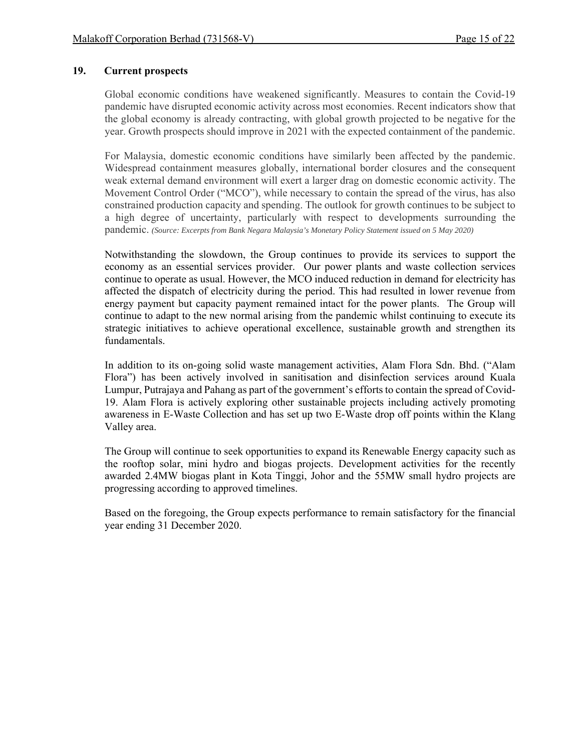### **19. Current prospects**

Global economic conditions have weakened significantly. Measures to contain the Covid-19 pandemic have disrupted economic activity across most economies. Recent indicators show that the global economy is already contracting, with global growth projected to be negative for the year. Growth prospects should improve in 2021 with the expected containment of the pandemic.

For Malaysia, domestic economic conditions have similarly been affected by the pandemic. Widespread containment measures globally, international border closures and the consequent weak external demand environment will exert a larger drag on domestic economic activity. The Movement Control Order ("MCO"), while necessary to contain the spread of the virus, has also constrained production capacity and spending. The outlook for growth continues to be subject to a high degree of uncertainty, particularly with respect to developments surrounding the pandemic. *(Source: Excerpts from Bank Negara Malaysia's Monetary Policy Statement issued on 5 May 2020)*

Notwithstanding the slowdown, the Group continues to provide its services to support the economy as an essential services provider. Our power plants and waste collection services continue to operate as usual. However, the MCO induced reduction in demand for electricity has affected the dispatch of electricity during the period. This had resulted in lower revenue from energy payment but capacity payment remained intact for the power plants. The Group will continue to adapt to the new normal arising from the pandemic whilst continuing to execute its strategic initiatives to achieve operational excellence, sustainable growth and strengthen its fundamentals.

In addition to its on-going solid waste management activities, Alam Flora Sdn. Bhd. ("Alam Flora") has been actively involved in sanitisation and disinfection services around Kuala Lumpur, Putrajaya and Pahang as part of the government's efforts to contain the spread of Covid-19. Alam Flora is actively exploring other sustainable projects including actively promoting awareness in E-Waste Collection and has set up two E-Waste drop off points within the Klang Valley area.

The Group will continue to seek opportunities to expand its Renewable Energy capacity such as the rooftop solar, mini hydro and biogas projects. Development activities for the recently awarded 2.4MW biogas plant in Kota Tinggi, Johor and the 55MW small hydro projects are progressing according to approved timelines.

Based on the foregoing, the Group expects performance to remain satisfactory for the financial year ending 31 December 2020.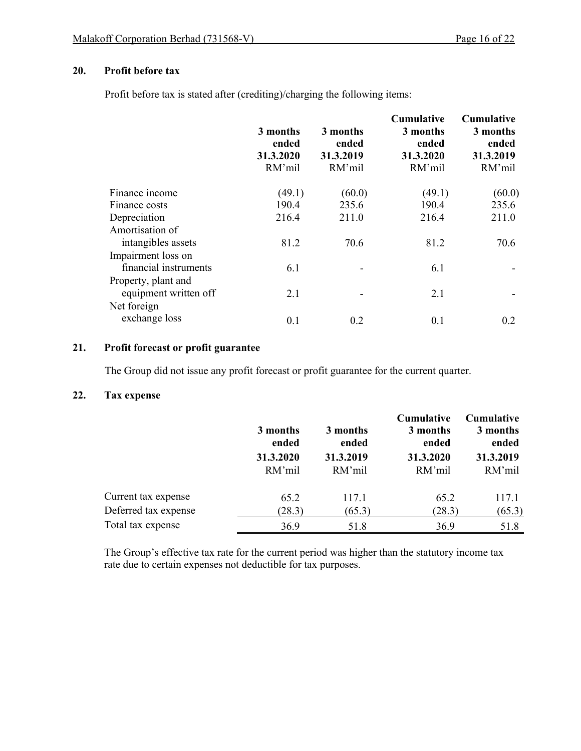## **20. Profit before tax**

Profit before tax is stated after (crediting)/charging the following items:

|                       | 3 months<br>ended<br>31.3.2020<br>RM'mil | 3 months<br>ended<br>31.3.2019<br>RM'mil | <b>Cumulative</b><br>3 months<br>ended<br>31.3.2020<br>RM'mil | <b>Cumulative</b><br>3 months<br>ended<br>31.3.2019<br>RM'mil |
|-----------------------|------------------------------------------|------------------------------------------|---------------------------------------------------------------|---------------------------------------------------------------|
| Finance income        | (49.1)                                   | (60.0)                                   | (49.1)                                                        | (60.0)                                                        |
| Finance costs         | 190.4                                    | 235.6                                    | 190.4                                                         | 235.6                                                         |
| Depreciation          | 216.4                                    | 211.0                                    | 216.4                                                         | 211.0                                                         |
| Amortisation of       |                                          |                                          |                                                               |                                                               |
| intangibles assets    | 81.2                                     | 70.6                                     | 81.2                                                          | 70.6                                                          |
| Impairment loss on    |                                          |                                          |                                                               |                                                               |
| financial instruments | 6.1                                      |                                          | 6.1                                                           |                                                               |
| Property, plant and   |                                          |                                          |                                                               |                                                               |
| equipment written off | 2.1                                      |                                          | 2.1                                                           |                                                               |
| Net foreign           |                                          |                                          |                                                               |                                                               |
| exchange loss         | 0.1                                      | 0.2                                      | 0.1                                                           | 0.2                                                           |

## **21. Profit forecast or profit guarantee**

The Group did not issue any profit forecast or profit guarantee for the current quarter.

## **22. Tax expense**

|                      | 3 months<br>ended<br>31.3.2020<br>RM'mil | 3 months<br>ended<br>31.3.2019<br>RM'mil | Cumulative<br>3 months<br>ended<br>31.3.2020<br>RM'mil | Cumulative<br>3 months<br>ended<br>31.3.2019<br>RM'mil |
|----------------------|------------------------------------------|------------------------------------------|--------------------------------------------------------|--------------------------------------------------------|
| Current tax expense  | 65.2                                     | 117.1                                    | 65.2                                                   | 117.1                                                  |
| Deferred tax expense | (28.3)                                   | (65.3)                                   | (28.3)                                                 | (65.3)                                                 |
| Total tax expense    | 36.9                                     | 51.8                                     | 36.9                                                   | 51.8                                                   |

The Group's effective tax rate for the current period was higher than the statutory income tax rate due to certain expenses not deductible for tax purposes.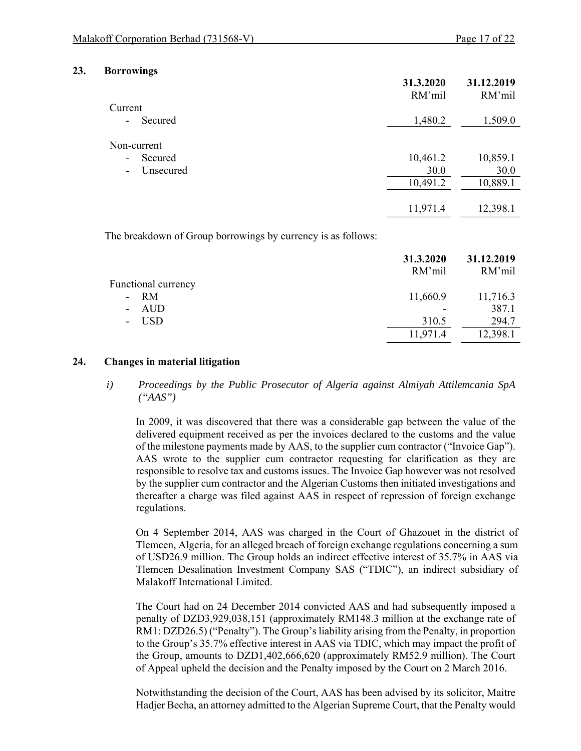**31.3.2020** 

#### **23. Borrowings**

|                                       | 31.3.2020<br>RM'mil | 31.12.2019<br>RM'mil |
|---------------------------------------|---------------------|----------------------|
| Current                               |                     |                      |
| Secured<br>$\overline{\phantom{a}}$   | 1,480.2             | 1,509.0              |
| Non-current                           |                     |                      |
| Secured<br>$\overline{\phantom{a}}$   | 10,461.2            | 10,859.1             |
| Unsecured<br>$\overline{\phantom{a}}$ | 30.0                | 30.0                 |
|                                       | 10,491.2            | 10,889.1             |
|                                       | 11,971.4            | 12,398.1             |
|                                       |                     |                      |

The breakdown of Group borrowings by currency is as follows:

|                     | 31.3.2020<br>RM'mil | 31.12.2019<br>RM'mil |
|---------------------|---------------------|----------------------|
| Functional currency |                     |                      |
| $- RM$              | 11,660.9            | 11,716.3             |
| - AUD               |                     | 387.1                |
| - USD               | 310.5               | 294.7                |
|                     | 11,971.4            | 12,398.1             |

#### **24. Changes in material litigation**

*i) Proceedings by the Public Prosecutor of Algeria against Almiyah Attilemcania SpA ("AAS")* 

In 2009, it was discovered that there was a considerable gap between the value of the delivered equipment received as per the invoices declared to the customs and the value of the milestone payments made by AAS, to the supplier cum contractor ("Invoice Gap"). AAS wrote to the supplier cum contractor requesting for clarification as they are responsible to resolve tax and customs issues. The Invoice Gap however was not resolved by the supplier cum contractor and the Algerian Customs then initiated investigations and thereafter a charge was filed against AAS in respect of repression of foreign exchange regulations.

On 4 September 2014, AAS was charged in the Court of Ghazouet in the district of Tlemcen, Algeria, for an alleged breach of foreign exchange regulations concerning a sum of USD26.9 million. The Group holds an indirect effective interest of 35.7% in AAS via Tlemcen Desalination Investment Company SAS ("TDIC"), an indirect subsidiary of Malakoff International Limited.

The Court had on 24 December 2014 convicted AAS and had subsequently imposed a penalty of DZD3,929,038,151 (approximately RM148.3 million at the exchange rate of RM1: DZD26.5) ("Penalty"). The Group's liability arising from the Penalty, in proportion to the Group's 35.7% effective interest in AAS via TDIC, which may impact the profit of the Group, amounts to DZD1,402,666,620 (approximately RM52.9 million). The Court of Appeal upheld the decision and the Penalty imposed by the Court on 2 March 2016.

Notwithstanding the decision of the Court, AAS has been advised by its solicitor, Maitre Hadjer Becha, an attorney admitted to the Algerian Supreme Court, that the Penalty would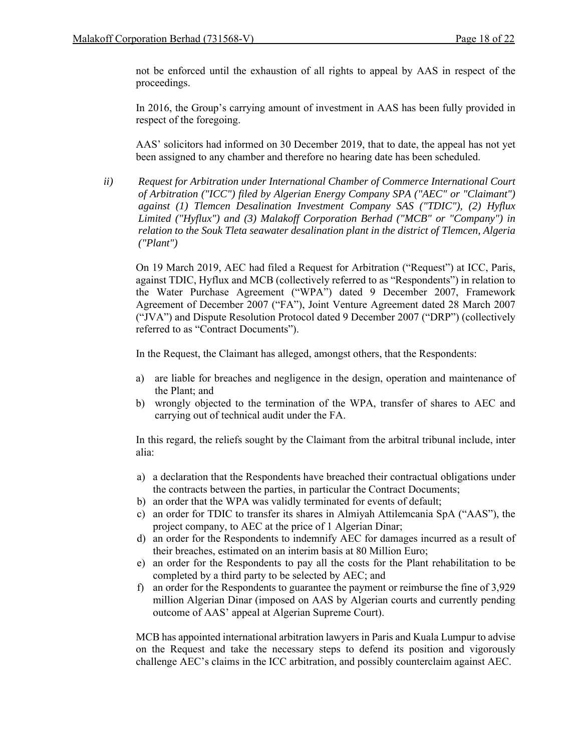not be enforced until the exhaustion of all rights to appeal by AAS in respect of the proceedings.

In 2016, the Group's carrying amount of investment in AAS has been fully provided in respect of the foregoing.

AAS' solicitors had informed on 30 December 2019, that to date, the appeal has not yet been assigned to any chamber and therefore no hearing date has been scheduled.

*ii) Request for Arbitration under International Chamber of Commerce International Court of Arbitration ("ICC") filed by Algerian Energy Company SPA ("AEC" or "Claimant") against (1) Tlemcen Desalination Investment Company SAS ("TDIC"), (2) Hyflux Limited ("Hyflux") and (3) Malakoff Corporation Berhad ("MCB" or "Company") in relation to the Souk Tleta seawater desalination plant in the district of Tlemcen, Algeria ("Plant")* 

On 19 March 2019, AEC had filed a Request for Arbitration ("Request") at ICC, Paris, against TDIC, Hyflux and MCB (collectively referred to as "Respondents") in relation to the Water Purchase Agreement ("WPA") dated 9 December 2007, Framework Agreement of December 2007 ("FA"), Joint Venture Agreement dated 28 March 2007 ("JVA") and Dispute Resolution Protocol dated 9 December 2007 ("DRP") (collectively referred to as "Contract Documents").

In the Request, the Claimant has alleged, amongst others, that the Respondents:

- a) are liable for breaches and negligence in the design, operation and maintenance of the Plant; and
- b) wrongly objected to the termination of the WPA, transfer of shares to AEC and carrying out of technical audit under the FA.

In this regard, the reliefs sought by the Claimant from the arbitral tribunal include, inter alia:

- a) a declaration that the Respondents have breached their contractual obligations under the contracts between the parties, in particular the Contract Documents;
- b) an order that the WPA was validly terminated for events of default;
- c) an order for TDIC to transfer its shares in Almiyah Attilemcania SpA ("AAS"), the project company, to AEC at the price of 1 Algerian Dinar;
- d) an order for the Respondents to indemnify AEC for damages incurred as a result of their breaches, estimated on an interim basis at 80 Million Euro;
- e) an order for the Respondents to pay all the costs for the Plant rehabilitation to be completed by a third party to be selected by AEC; and
- f) an order for the Respondents to guarantee the payment or reimburse the fine of 3,929 million Algerian Dinar (imposed on AAS by Algerian courts and currently pending outcome of AAS' appeal at Algerian Supreme Court).

MCB has appointed international arbitration lawyers in Paris and Kuala Lumpur to advise on the Request and take the necessary steps to defend its position and vigorously challenge AEC's claims in the ICC arbitration, and possibly counterclaim against AEC.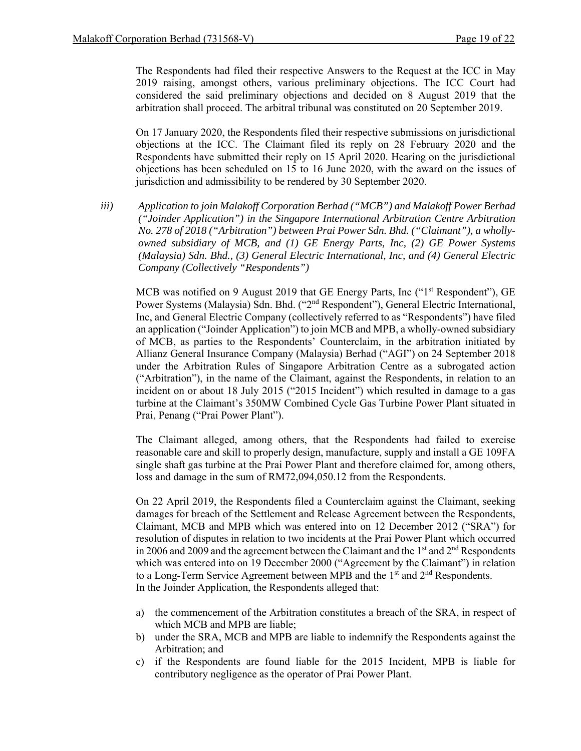The Respondents had filed their respective Answers to the Request at the ICC in May 2019 raising, amongst others, various preliminary objections. The ICC Court had considered the said preliminary objections and decided on 8 August 2019 that the arbitration shall proceed. The arbitral tribunal was constituted on 20 September 2019.

On 17 January 2020, the Respondents filed their respective submissions on jurisdictional objections at the ICC. The Claimant filed its reply on 28 February 2020 and the Respondents have submitted their reply on 15 April 2020. Hearing on the jurisdictional objections has been scheduled on 15 to 16 June 2020, with the award on the issues of jurisdiction and admissibility to be rendered by 30 September 2020.

*iii) Application to join Malakoff Corporation Berhad ("MCB") and Malakoff Power Berhad ("Joinder Application") in the Singapore International Arbitration Centre Arbitration No. 278 of 2018 ("Arbitration") between Prai Power Sdn. Bhd. ("Claimant"), a whollyowned subsidiary of MCB, and (1) GE Energy Parts, Inc, (2) GE Power Systems (Malaysia) Sdn. Bhd., (3) General Electric International, Inc, and (4) General Electric Company (Collectively "Respondents")* 

MCB was notified on 9 August 2019 that GE Energy Parts, Inc ("1<sup>st</sup> Respondent"), GE Power Systems (Malaysia) Sdn. Bhd. ("2<sup>nd</sup> Respondent"), General Electric International, Inc, and General Electric Company (collectively referred to as "Respondents") have filed an application ("Joinder Application") to join MCB and MPB, a wholly-owned subsidiary of MCB, as parties to the Respondents' Counterclaim, in the arbitration initiated by Allianz General Insurance Company (Malaysia) Berhad ("AGI") on 24 September 2018 under the Arbitration Rules of Singapore Arbitration Centre as a subrogated action ("Arbitration"), in the name of the Claimant, against the Respondents, in relation to an incident on or about 18 July 2015 ("2015 Incident") which resulted in damage to a gas turbine at the Claimant's 350MW Combined Cycle Gas Turbine Power Plant situated in Prai, Penang ("Prai Power Plant").

The Claimant alleged, among others, that the Respondents had failed to exercise reasonable care and skill to properly design, manufacture, supply and install a GE 109FA single shaft gas turbine at the Prai Power Plant and therefore claimed for, among others, loss and damage in the sum of RM72,094,050.12 from the Respondents.

On 22 April 2019, the Respondents filed a Counterclaim against the Claimant, seeking damages for breach of the Settlement and Release Agreement between the Respondents, Claimant, MCB and MPB which was entered into on 12 December 2012 ("SRA") for resolution of disputes in relation to two incidents at the Prai Power Plant which occurred in 2006 and 2009 and the agreement between the Claimant and the  $1<sup>st</sup>$  and  $2<sup>nd</sup>$  Respondents which was entered into on 19 December 2000 ("Agreement by the Claimant") in relation to a Long-Term Service Agreement between MPB and the 1<sup>st</sup> and 2<sup>nd</sup> Respondents. In the Joinder Application, the Respondents alleged that:

- a) the commencement of the Arbitration constitutes a breach of the SRA, in respect of which MCB and MPB are liable;
- b) under the SRA, MCB and MPB are liable to indemnify the Respondents against the Arbitration; and
- c) if the Respondents are found liable for the 2015 Incident, MPB is liable for contributory negligence as the operator of Prai Power Plant.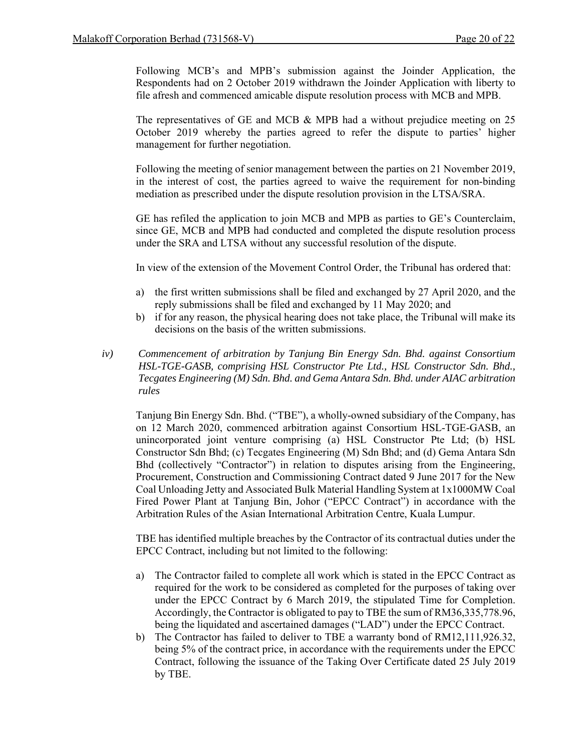Following MCB's and MPB's submission against the Joinder Application, the Respondents had on 2 October 2019 withdrawn the Joinder Application with liberty to file afresh and commenced amicable dispute resolution process with MCB and MPB.

The representatives of GE and MCB & MPB had a without prejudice meeting on 25 October 2019 whereby the parties agreed to refer the dispute to parties' higher management for further negotiation.

Following the meeting of senior management between the parties on 21 November 2019, in the interest of cost, the parties agreed to waive the requirement for non-binding mediation as prescribed under the dispute resolution provision in the LTSA/SRA.

GE has refiled the application to join MCB and MPB as parties to GE's Counterclaim, since GE, MCB and MPB had conducted and completed the dispute resolution process under the SRA and LTSA without any successful resolution of the dispute.

In view of the extension of the Movement Control Order, the Tribunal has ordered that:

- a) the first written submissions shall be filed and exchanged by 27 April 2020, and the reply submissions shall be filed and exchanged by 11 May 2020; and
- b) if for any reason, the physical hearing does not take place, the Tribunal will make its decisions on the basis of the written submissions.
- *iv) Commencement of arbitration by Tanjung Bin Energy Sdn. Bhd. against Consortium HSL-TGE-GASB, comprising HSL Constructor Pte Ltd., HSL Constructor Sdn. Bhd., Tecgates Engineering (M) Sdn. Bhd. and Gema Antara Sdn. Bhd. under AIAC arbitration rules*

Tanjung Bin Energy Sdn. Bhd. ("TBE"), a wholly-owned subsidiary of the Company, has on 12 March 2020, commenced arbitration against Consortium HSL-TGE-GASB, an unincorporated joint venture comprising (a) HSL Constructor Pte Ltd; (b) HSL Constructor Sdn Bhd; (c) Tecgates Engineering (M) Sdn Bhd; and (d) Gema Antara Sdn Bhd (collectively "Contractor") in relation to disputes arising from the Engineering, Procurement, Construction and Commissioning Contract dated 9 June 2017 for the New Coal Unloading Jetty and Associated Bulk Material Handling System at 1x1000MW Coal Fired Power Plant at Tanjung Bin, Johor ("EPCC Contract") in accordance with the Arbitration Rules of the Asian International Arbitration Centre, Kuala Lumpur.

TBE has identified multiple breaches by the Contractor of its contractual duties under the EPCC Contract, including but not limited to the following:

- a) The Contractor failed to complete all work which is stated in the EPCC Contract as required for the work to be considered as completed for the purposes of taking over under the EPCC Contract by 6 March 2019, the stipulated Time for Completion. Accordingly, the Contractor is obligated to pay to TBE the sum of RM36,335,778.96, being the liquidated and ascertained damages ("LAD") under the EPCC Contract.
- b) The Contractor has failed to deliver to TBE a warranty bond of RM12,111,926.32, being 5% of the contract price, in accordance with the requirements under the EPCC Contract, following the issuance of the Taking Over Certificate dated 25 July 2019 by TBE.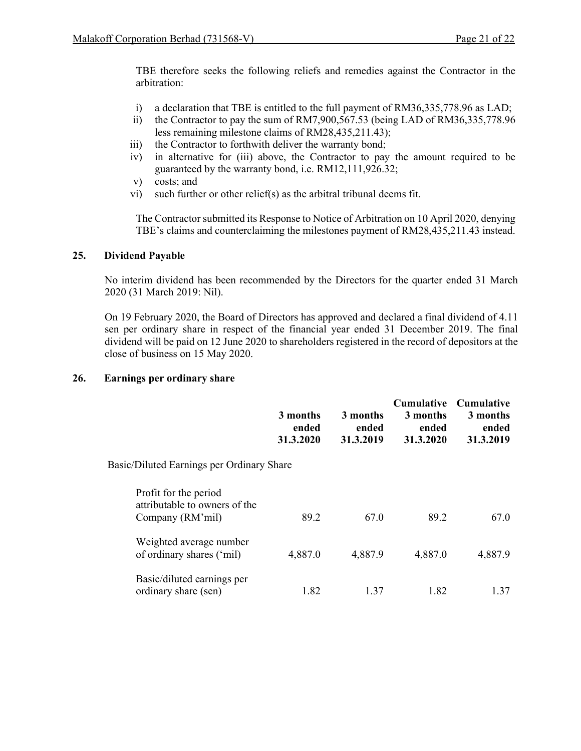TBE therefore seeks the following reliefs and remedies against the Contractor in the arbitration:

- i) a declaration that TBE is entitled to the full payment of RM36,335,778.96 as LAD;
- ii) the Contractor to pay the sum of RM7,900,567.53 (being LAD of RM36,335,778.96 less remaining milestone claims of RM28,435,211.43);
- iii) the Contractor to forthwith deliver the warranty bond;
- iv) in alternative for (iii) above, the Contractor to pay the amount required to be guaranteed by the warranty bond, i.e. RM12,111,926.32;
- v) costs; and
- vi) such further or other relief(s) as the arbitral tribunal deems fit.

The Contractor submitted its Response to Notice of Arbitration on 10 April 2020, denying TBE's claims and counterclaiming the milestones payment of RM28,435,211.43 instead.

#### **25. Dividend Payable**

No interim dividend has been recommended by the Directors for the quarter ended 31 March 2020 (31 March 2019: Nil).

On 19 February 2020, the Board of Directors has approved and declared a final dividend of 4.11 sen per ordinary share in respect of the financial year ended 31 December 2019. The final dividend will be paid on 12 June 2020 to shareholders registered in the record of depositors at the close of business on 15 May 2020.

#### **26. Earnings per ordinary share**

|                                                                            | 3 months<br>ended<br>31.3.2020 | 3 months<br>ended<br>31.3.2019 | <b>Cumulative</b><br>3 months<br>ended<br>31.3.2020 | <b>Cumulative</b><br>3 months<br>ended<br>31.3.2019 |
|----------------------------------------------------------------------------|--------------------------------|--------------------------------|-----------------------------------------------------|-----------------------------------------------------|
| Basic/Diluted Earnings per Ordinary Share                                  |                                |                                |                                                     |                                                     |
| Profit for the period<br>attributable to owners of the<br>Company (RM'mil) | 89.2                           | 67.0                           | 89.2                                                | 67.0                                                |
| Weighted average number<br>of ordinary shares ('mil)                       | 4,887.0                        | 4,887.9                        | 4,887.0                                             | 4,887.9                                             |
| Basic/diluted earnings per<br>ordinary share (sen)                         | 1.82                           | 1.37                           | 1.82                                                | 1.37                                                |